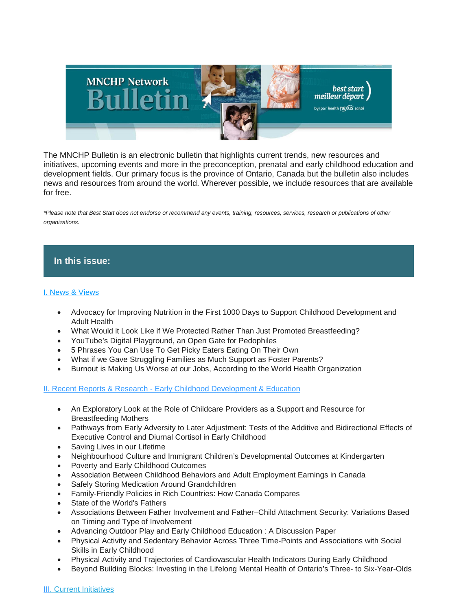

The MNCHP Bulletin is an electronic bulletin that highlights current trends, new resources and initiatives, upcoming events and more in the preconception, prenatal and early childhood education and development fields. Our primary focus is the province of Ontario, Canada but the bulletin also includes news and resources from around the world. Wherever possible, we include resources that are available for free.

*\*Please note that Best Start does not endorse or recommend any events, training, resources, services, research or publications of other organizations.*

# **In this issue:**

# [I. News & Views](https://us14.admin.mailchimp.com/templates/preview-template?id=182777#I.%20News%20&%20Views)

- Advocacy for Improving Nutrition in the First 1000 Days to Support Childhood Development and Adult Health
- What Would it Look Like if We Protected Rather Than Just Promoted Breastfeeding?
- YouTube's Digital Playground, an Open Gate for Pedophiles
- 5 Phrases You Can Use To Get Picky Eaters Eating On Their Own
- What if we Gave Struggling Families as Much Support as Foster Parents?
- Burnout is Making Us Worse at our Jobs, According to the World Health Organization

II. Recent Reports & Research - [Early Childhood Development & Education](https://us14.admin.mailchimp.com/templates/preview-template?id=182777#II.%20Recent%20Reports%20&%20Research%20-%20Early%20Childhood%20Development%20and%20Education)

- An Exploratory Look at the Role of Childcare Providers as a Support and Resource for Breastfeeding Mothers
- Pathways from Early Adversity to Later Adjustment: Tests of the Additive and Bidirectional Effects of Executive Control and Diurnal Cortisol in Early Childhood
- Saving Lives in our Lifetime
- Neighbourhood Culture and Immigrant Children's Developmental Outcomes at Kindergarten
- Poverty and Early Childhood Outcomes
- Association Between Childhood Behaviors and Adult Employment Earnings in Canada
- Safely Storing Medication Around Grandchildren
- Family-Friendly Policies in Rich Countries: How Canada Compares
- State of the World's Fathers
- Associations Between Father Involvement and Father–Child Attachment Security: Variations Based on Timing and Type of Involvement
- Advancing Outdoor Play and Early Childhood Education : A Discussion Paper
- Physical Activity and Sedentary Behavior Across Three Time-Points and Associations with Social Skills in Early Childhood
- Physical Activity and Trajectories of Cardiovascular Health Indicators During Early Childhood
- Beyond Building Blocks: Investing in the Lifelong Mental Health of Ontario's Three- to Six-Year-Olds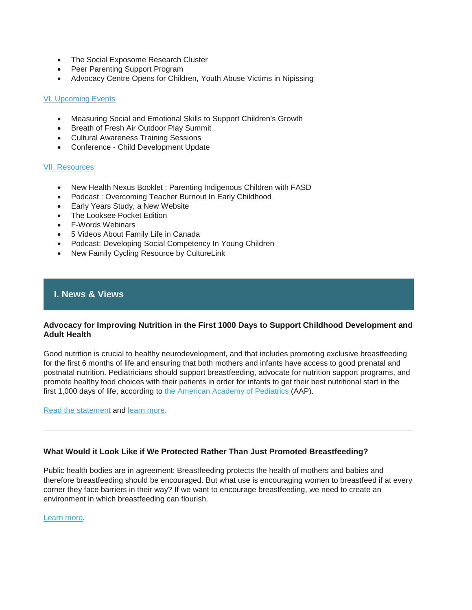- The Social Exposome Research Cluster
- Peer Parenting Support Program
- Advocacy Centre Opens for Children, Youth Abuse Victims in Nipissing

## [VI. Upcoming Events](https://us14.admin.mailchimp.com/templates/preview-template?id=182777#IV.%20Upcoming%20Events)

- Measuring Social and Emotional Skills to Support Children's Growth
- Breath of Fresh Air Outdoor Play Summit
- Cultural Awareness Training Sessions
- Conference Child Development Update

### [VII. Resources](https://us14.admin.mailchimp.com/templates/preview-template?id=182777#V.%20Resources)

- New Health Nexus Booklet : Parenting Indigenous Children with FASD
- Podcast : Overcoming Teacher Burnout In Early Childhood
- Early Years Study, a New Website
- The Looksee Pocket Edition
- F-Words Webinars
- 5 Videos About Family Life in Canada
- Podcast: Developing Social Competency In Young Children
- New Family Cycling Resource by CultureLink

# **I. News & Views**

## **Advocacy for Improving Nutrition in the First 1000 Days to Support Childhood Development and Adult Health**

Good nutrition is crucial to healthy neurodevelopment, and that includes promoting exclusive breastfeeding for the first 6 months of life and ensuring that both mothers and infants have access to good prenatal and postnatal nutrition. Pediatricians should support breastfeeding, advocate for nutrition support programs, and promote healthy food choices with their patients in order for infants to get their best nutritional start in the first 1,000 days of life, according to [the American Academy of Pediatrics](https://www.aap.org/) (AAP).

[Read the statement](https://pediatrics.aappublications.org/content/141/2/e20173716) and [learn more.](https://www.medpagetoday.org/pediatrics/generalpediatrics/70678?vpass=1)

## **What Would it Look Like if We Protected Rather Than Just Promoted Breastfeeding?**

Public health bodies are in agreement: Breastfeeding protects the health of mothers and babies and therefore breastfeeding should be encouraged. But what use is encouraging women to breastfeed if at every corner they face barriers in their way? If we want to encourage breastfeeding, we need to create an environment in which breastfeeding can flourish.

[Learn more.](https://thousanddays.org/updates/guest-post-what-would-it-look-like-if-we-protected-rather-than-just-promoted-breastfeeding/?eType=EmailBlastContent&eId=6ed03c84-0174-43ef-9cfd-4d88d2a06146)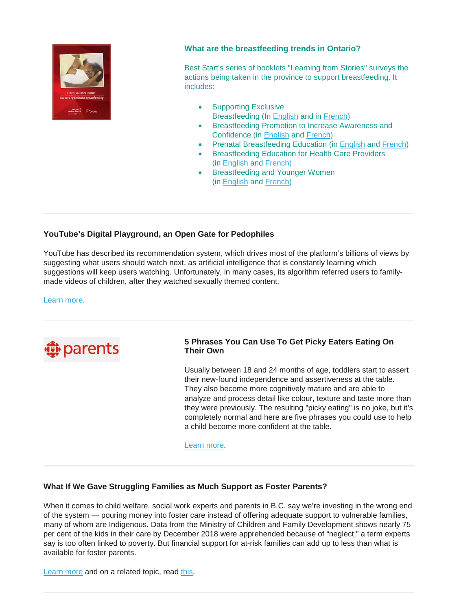

# **What are the breastfeeding trends in Ontario?**

Best Start's series of booklets "Learning from Stories" surveys the actions being taken in the province to support breastfeeding. It includes:

- Supporting Exclusive Breastfeeding (In [English](https://resources.beststart.org/product/b31f-learning-from-stories-supporting-exclusive-breastfeeding-booklet/) and in [French\)](https://resources.beststart.org/product/b31f-cas-vecus-soutenir-allaitement-maternel-exclusif-livret-en/)
- Breastfeeding Promotion to Increase Awareness and Confidence (in [English](https://resources.beststart.org/product/b30e-learning-from-stories-promotion-awareness-confidence-booklet/) and [French\)](https://resources.beststart.org/product/tirer-des-lecons-de-cas-vecus-la-promotion-de-lallaitement-maternel-meilleure-sensibilisation-et-mise-en-confiance/)
- Prenatal Breastfeeding Education (in [English](https://resources.beststart.org/product/b29e-learning-from-stories-prenatal-education-booklet/) and [French\)](https://resources.beststart.org/product/b29f-cas-vecus-formation-prenatale-livret-en/)
- Breastfeeding Education for Health Care Providers (in [English](https://resources.beststart.org/product/b28e-learning-from-stories-education-health-care-providers-booklet/) and [French\)](https://resources.beststart.org/product/b28f-cas-vecus-education-prestataires-soins-sante-livret-en/)
- Breastfeeding and Younger Women (in [English](https://resources.beststart.org/product/b27e-learning-from-stories-younger-women-booklet/) and [French\)](https://resources.beststart.org/product/b27f-cas-vecus-jeunes-femmes-livret-en/)

# **YouTube's Digital Playground, an Open Gate for Pedophiles**

YouTube has described its recommendation system, which drives most of the platform's billions of views by suggesting what users should watch next, as artificial intelligence that is constantly learning which suggestions will keep users watching. Unfortunately, in many cases, its algorithm referred users to familymade videos of children, after they watched sexually themed content.

[Learn more.](https://www.nytimes.com/2019/06/03/world/americas/youtube-pedophiles.html)



# **5 Phrases You Can Use To Get Picky Eaters Eating On Their Own**

Usually between 18 and 24 months of age, toddlers start to assert their new-found independence and assertiveness at the table. They also become more cognitively mature and are able to analyze and process detail like colour, texture and taste more than they were previously. The resulting "picky eating" is no joke, but it's completely normal and here are five phrases you could use to help a child become more confident at the table.

[Learn more.](https://www.cbc.ca/parents/learning/view/five-phrases-you-can-use-to-get-your-picky-eater-eating-on-their-own)

## **What If We Gave Struggling Families as Much Support as Foster Parents?**

When it comes to child welfare, social work experts and parents in B.C. say we're investing in the wrong end of the system — pouring money into foster care instead of offering adequate support to vulnerable families, many of whom are Indigenous. Data from the Ministry of Children and Family Development shows nearly 75 per cent of the kids in their care by December 2018 were apprehended because of "neglect," a term experts say is too often linked to poverty. But financial support for at-risk families can add up to less than what is available for foster parents.

[Learn more](https://thetyee.ca/News/2019/06/06/Struggling-Families-Foster-Parents/) and on a related topic, read [this.](https://www.cbc.ca/news/canada/new-brunswick/mi-kmaq-family-services-new-brunswick-child-protection-1.5161829)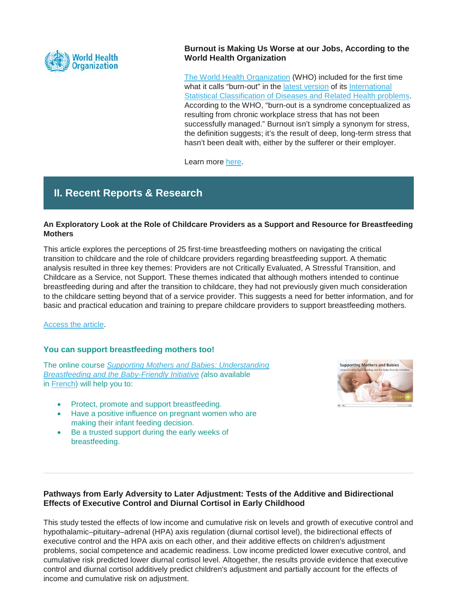

# **Burnout is Making Us Worse at our Jobs, According to the World Health Organization**

[The World Health Organization](https://www.who.int/) (WHO) included for the first time what it calls "burn-out" in the [latest version](https://www.who.int/news-room/detail/25-05-2019-world-health-assembly-update) of its International [Statistical Classification of Diseases and Related Health problems.](https://icd.who.int/browse11/l-m/en#/http://id.who.int/icd/entity/129180281) According to the WHO, "burn-out is a syndrome conceptualized as resulting from chronic workplace stress that has not been successfully managed." Burnout isn't simply a synonym for stress, the definition suggests; it's the result of deep, long-term stress that hasn't been dealt with, either by the sufferer or their employer.

Learn more [here.](https://www.weforum.org/agenda/2019/05/burnout-is-making-us-worse-at-our-jobs-according-to-the-who/)

# **II. Recent Reports & Research**

# **An Exploratory Look at the Role of Childcare Providers as a Support and Resource for Breastfeeding Mothers**

This article explores the perceptions of 25 first-time breastfeeding mothers on navigating the critical transition to childcare and the role of childcare providers regarding breastfeeding support. A thematic analysis resulted in three key themes: Providers are not Critically Evaluated, A Stressful Transition, and Childcare as a Service, not Support. These themes indicated that although mothers intended to continue breastfeeding during and after the transition to childcare, they had not previously given much consideration to the childcare setting beyond that of a service provider. This suggests a need for better information, and for basic and practical education and training to prepare childcare providers to support breastfeeding mothers.

## [Access the article.](https://www.liebertpub.com/doi/10.1089/bfm.2018.0091)

## **You can support breastfeeding mothers too!**

The online course *[Supporting Mothers and Babies: Understanding](https://resources.beststart.org/product/b07e-healthy-mothers-healthy-babies-breastfeeding-web-course/)  [Breastfeeding and the Baby-Friendly Initiative](https://resources.beststart.org/product/b07e-healthy-mothers-healthy-babies-breastfeeding-web-course/) (a*lso available in [French\)](https://resources.beststart.org/product/j13f-lorsque-compassion-rime-avec-souffrance-manuel-en/) will help you to:

- Protect, promote and support breastfeeding.
- Have a positive influence on pregnant women who are making their infant feeding decision.
- Be a trusted support during the early weeks of breastfeeding.



# **Pathways from Early Adversity to Later Adjustment: Tests of the Additive and Bidirectional Effects of Executive Control and Diurnal Cortisol in Early Childhood**

This study tested the effects of low income and cumulative risk on levels and growth of executive control and hypothalamic–pituitary–adrenal (HPA) axis regulation (diurnal cortisol level), the bidirectional effects of executive control and the HPA axis on each other, and their additive effects on children's adjustment problems, social competence and academic readiness. Low income predicted lower executive control, and cumulative risk predicted lower diurnal cortisol level. Altogether, the results provide evidence that executive control and diurnal cortisol additively predict children's adjustment and partially account for the effects of income and cumulative risk on adjustment.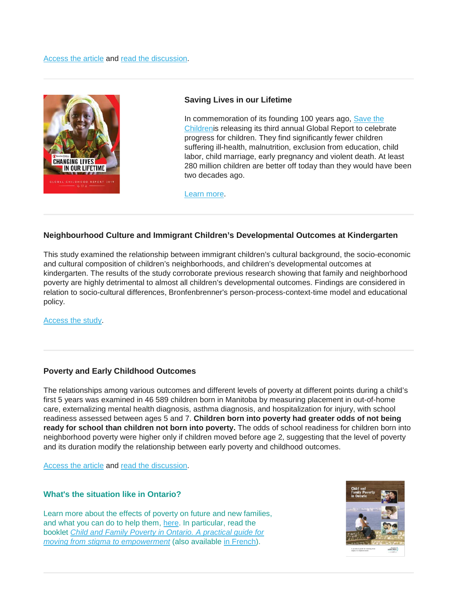

### **Saving Lives in our Lifetime**

In commemoration of its founding 100 years ago, Save the [Childrenis](https://www.savethechildren.ca/) releasing its third annual Global Report to celebrate progress for children. They find significantly fewer children suffering ill-health, malnutrition, exclusion from education, child labor, child marriage, early pregnancy and violent death. At least 280 million children are better off today than they would have been two decades ago.

[Learn more.](https://campaigns.savethechildren.net/sites/campaigns.savethechildren.net/files/report/global_childhood_report_2019_ENGLISH.pdf)

## **Neighbourhood Culture and Immigrant Children's Developmental Outcomes at Kindergarten**

This study examined the relationship between immigrant children's cultural background, the socio-economic and cultural composition of children's neighborhoods, and children's developmental outcomes at kindergarten. The results of the study corroborate previous research showing that family and neighborhood poverty are highly detrimental to almost all children's developmental outcomes. Findings are considered in relation to socio-cultural differences, Bronfenbrenner's person-process-context-time model and educational policy.

[Access the study.](https://www.sciencedirect.com/science/article/pii/S0885200619300420)

## **Poverty and Early Childhood Outcomes**

The relationships among various outcomes and different levels of poverty at different points during a child's first 5 years was examined in 46 589 children born in Manitoba by measuring placement in out-of-home care, externalizing mental health diagnosis, asthma diagnosis, and hospitalization for injury, with school readiness assessed between ages 5 and 7. **Children born into poverty had greater odds of not being ready for school than children not born into poverty.** The odds of school readiness for children born into neighborhood poverty were higher only if children moved before age 2, suggesting that the level of poverty and its duration modify the relationship between early poverty and childhood outcomes.

[Access the article](https://pediatrics.aappublications.org/content/143/6/e20183426) and [read the discussion.](https://pediatrics-aappublications-org.myaccess.library.utoronto.ca/content/143/6/e20190195)

### **What's the situation like in Ontario?**

Learn more about the effects of poverty on future and new families, and what you can do to help them, [here.](https://resources.beststart.org/product-category/resources/poverty/) In particular, read the booklet *[Child and Family Poverty in Ontario. A practical guide for](https://resources.beststart.org/product/g03e-child-family-poverty-ontario-book/)  [moving from stigma to empowerment](https://resources.beststart.org/product/g03e-child-family-poverty-ontario-book/)* (also available [in French\)](https://resources.beststart.org/product/g03f-pauvrete-enfants-familles-ontario-book-en/).

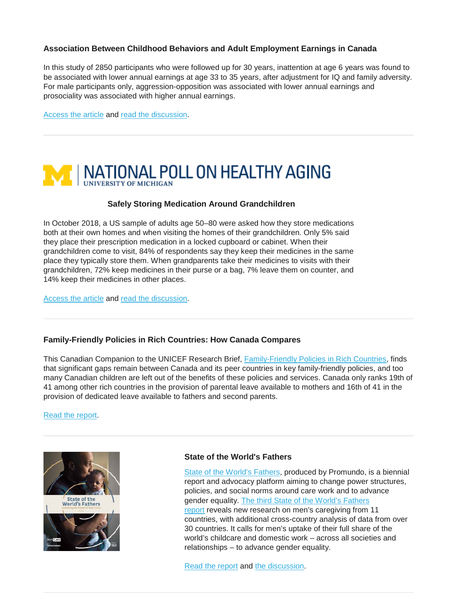# **Association Between Childhood Behaviors and Adult Employment Earnings in Canada**

In this study of 2850 participants who were followed up for 30 years, inattention at age 6 years was found to be associated with lower annual earnings at age 33 to 35 years, after adjustment for IQ and family adversity. For male participants only, aggression-opposition was associated with lower annual earnings and prosociality was associated with higher annual earnings.

[Access the article](https://jamanetwork.com/journals/jamapsychiatry/article-abstract/2736346) and [read the discussion.](https://nationalpost.com/health/study-links-inattentiveness-and-bad-behaviour-in-kindergarten-to-lower-incomes-in-adults)



### **Safely Storing Medication Around Grandchildren**

In October 2018, a US sample of adults age 50–80 were asked how they store medications both at their own homes and when visiting the homes of their grandchildren. Only 5% said they place their prescription medication in a locked cupboard or cabinet. When their grandchildren come to visit, 84% of respondents say they keep their medicines in the same place they typically store them. When grandparents take their medicines to visits with their grandchildren, 72% keep medicines in their purse or a bag, 7% leave them on counter, and 14% keep their medicines in other places.

[Access the article](https://deepblue.lib.umich.edu/bitstream/id/538029/NPHA_Grandparents-Report_FINAL-070119.pdf) and [read the discussion.](https://www.upi.com/Health_News/2019/07/01/Poll-Grandparents-not-keeping-medications-secure-around-grandkids/9671561993384/)

### **Family-Friendly Policies in Rich Countries: How Canada Compares**

This Canadian Companion to the UNICEF Research Brief, [Family-Friendly Policies in Rich Countries,](https://www.unicef-irc.org/publications/pdf/Family-Friendly-Policies-Research_UNICEF_%202019.pdf) finds that significant gaps remain between Canada and its peer countries in key family-friendly policies, and too many Canadian children are left out of the benefits of these policies and services. Canada only ranks 19th of 41 among other rich countries in the provision of parental leave available to mothers and 16th of 41 in the provision of dedicated leave available to fathers and second parents.

[Read the report.](https://oneyouth.unicef.ca/sites/default/files/2019-06/UNICEF_ResearchBrief_CanadianCompanion_EN-FINAL_WEB.pdf)



## **State of the World's Fathers**

[State of the World's Fathers,](https://stateoftheworldsfathers.org/) produced by Promundo, is a biennial report and advocacy platform aiming to change power structures, policies, and social norms around care work and to advance gender equality. [The third State of the World's Fathers](https://stateoftheworldsfathers.org/report/state-of-the-worlds-fathers-helping-men-step-up-to-care/)  [report](https://stateoftheworldsfathers.org/report/state-of-the-worlds-fathers-helping-men-step-up-to-care/) reveals new research on men's caregiving from 11 countries, with additional cross-country analysis of data from over 30 countries. It calls for men's uptake of their full share of the world's childcare and domestic work – across all societies and relationships – to advance gender equality.

[Read the report](https://stateoftheworldsfathers.org/report/state-of-the-worlds-fathers-helping-men-step-up-to-care/) and [the discussion.](https://globalnews.ca/news/5354659/canadian-paternity-leave-women-deliver/)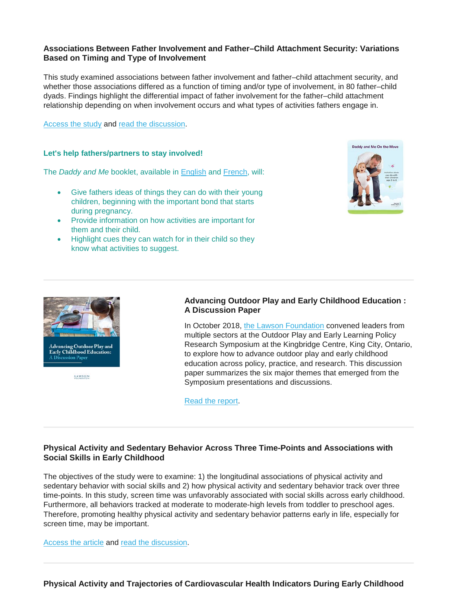### **Associations Between Father Involvement and Father–Child Attachment Security: Variations Based on Timing and Type of Involvement**

This study examined associations between father involvement and father–child attachment security, and whether those associations differed as a function of timing and/or type of involvement, in 80 father–child dyads. Findings highlight the differential impact of father involvement for the father–child attachment relationship depending on when involvement occurs and what types of activities fathers engage in.

[Access the study](https://psycnet.apa.org/record/2018-50197-001) and [read the discussion.](https://theswaddle.com/father-child-bond-is-strongest-when-fathers-prioritize-parenting-work-over-playtime/)

### **Let's help fathers/partners to stay involved!**

The *Daddy and Me* booklet, available in [English](https://resources.beststart.org/product/k57e-daddy-and-me-on-the-move-booklet/) and [French,](https://resources.beststart.org/product/k57f-papa-et-moi-en-mouvement-livret-en/) will:

- Give fathers ideas of things they can do with their young children, beginning with the important bond that starts during pregnancy.
- Provide information on how activities are important for them and their child.
- Highlight cues they can watch for in their child so they know what activities to suggest.





LAWSON

# **Advancing Outdoor Play and Early Childhood Education : A Discussion Paper**

In October 2018, [the Lawson Foundation](https://lawson.ca/) convened leaders from multiple sectors at the Outdoor Play and Early Learning Policy Research Symposium at the Kingbridge Centre, King City, Ontario, to explore how to advance outdoor play and early childhood education across policy, practice, and research. This discussion paper summarizes the six major themes that emerged from the Symposium presentations and discussions.

[Read the report.](https://lawson.ca/advancing-op-ece.pdf?utm_source=OPS+Discussion+Paper+May+2019&utm_campaign=339c9e8e7b-EMAIL_CAMPAIGN_2017_07_26_COPY_01&utm_medium=email&utm_term=0_c06fe832fb-339c9e8e7b-587278393)

# **Physical Activity and Sedentary Behavior Across Three Time-Points and Associations with Social Skills in Early Childhood**

The objectives of the study were to examine: 1) the longitudinal associations of physical activity and sedentary behavior with social skills and 2) how physical activity and sedentary behavior track over three time-points. In this study, screen time was unfavorably associated with social skills across early childhood. Furthermore, all behaviors tracked at moderate to moderate-high levels from toddler to preschool ages. Therefore, promoting healthy physical activity and sedentary behavior patterns early in life, especially for screen time, may be important.

[Access the article](https://bmcpublichealth.biomedcentral.com/articles/10.1186/s12889-018-6381-x) and [read the discussion.](https://www.folio.ca/too-much-screen-time-hurts-toddlers-social-skills-new-study-shows/)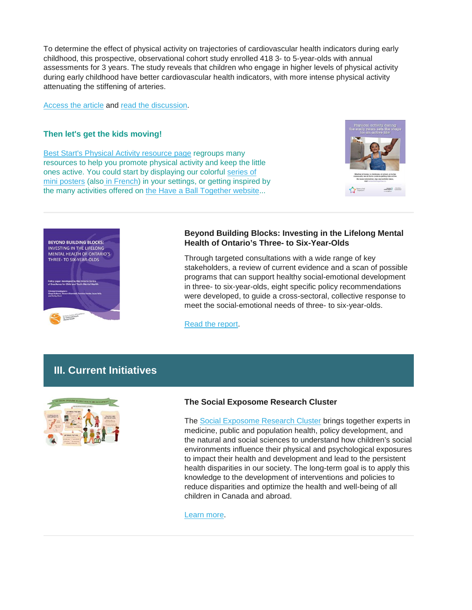To determine the effect of physical activity on trajectories of cardiovascular health indicators during early childhood, this prospective, observational cohort study enrolled 418 3- to 5-year-olds with annual assessments for 3 years. The study reveals that children who engage in higher levels of physical activity during early childhood have better cardiovascular health indicators, with more intense physical activity attenuating the stiffening of arteries.

[Access the article](https://pediatrics.aappublications.org/content/early/2019/06/07/peds.2018-2242?sso=1&sso_redirect_count=2&nfstatus=401&nftoken=00000000-0000-0000-0000-000000000000&nfstatusdescription=ERROR%3A%20No%20local%20token&nfstatus=401&nftoken=00000000-0000-0000-0000-000000000000&nfstatusdescription=ERROR%3a+No+local+token) and [read the discussion.](https://www.cbc.ca/news/canada/hamilton/active-preschool-kids-may-have-healthier-hearts-longterm-mcmaster-study-1.5170773)

### **Then let's get the kids moving!**

[Best Start's Physical Activity resource page](https://resources.beststart.org/product-category/resources/physical-activity/) regroups many resources to help you promote physical activity and keep the little ones active. You could start by displaying our colorful [series of](https://resources.beststart.org/product/k71e-have-a-ball-together-poster-set/)  [mini posters](https://resources.beststart.org/product/k71e-have-a-ball-together-poster-set/) (also [in French\)](https://resources.beststart.org/product/k71f-a-vous-de-jouer-ensemble-affichettes-en/) in your settings, or getting inspired by the many activities offered on [the Have a Ball Together website.](https://haveaballtogether.ca/activities/)..





### **Beyond Building Blocks: Investing in the Lifelong Mental Health of Ontario's Three- to Six-Year-Olds**

Through targeted consultations with a wide range of key stakeholders, a review of current evidence and a scan of possible programs that can support healthy social-emotional development in three- to six-year-olds, eight specific policy recommendations were developed, to guide a cross-sectoral, collective response to meet the social-emotional needs of three- to six-year-olds.

[Read the report.](http://www.excellenceforchildandyouth.ca/blog/beyond-building-blocks-investing-lifelong-mental-health-ontario-s-three-six-year-olds)

# **III. Current Initiatives**



## **The Social Exposome Research Cluster**

The [Social Exposome Research Cluster](https://socialexposome.ubc.ca/home-page) brings together experts in medicine, public and population health, policy development, and the natural and social sciences to understand how children's social environments influence their physical and psychological exposures to impact their health and development and lead to the persistent health disparities in our society. The long-term goal is to apply this knowledge to the development of interventions and policies to reduce disparities and optimize the health and well-being of all children in Canada and abroad.

[Learn more.](https://socialexposome.ubc.ca/home-page)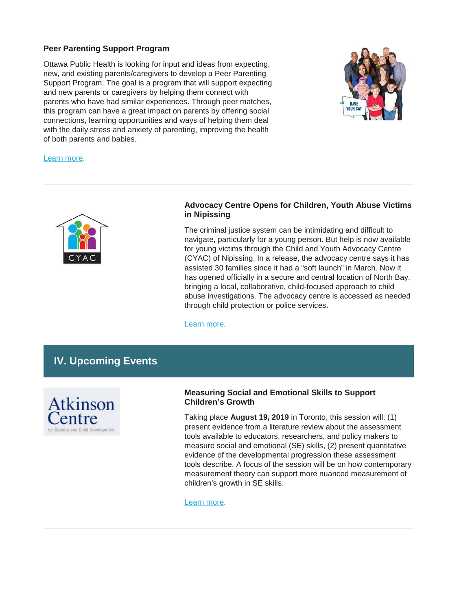### **Peer Parenting Support Program**

Ottawa Public Health is looking for input and ideas from expecting, new, and existing parents/caregivers to develop a Peer Parenting Support Program. The goal is a program that will support expecting and new parents or caregivers by helping them connect with parents who have had similar experiences. Through peer matches, this program can have a great impact on parents by offering social connections, learning opportunities and ways of helping them deal with the daily stress and anxiety of parenting, improving the health of both parents and babies.



[Learn more.](https://engage.ottawa.ca/ParentingSupport)



## **Advocacy Centre Opens for Children, Youth Abuse Victims in Nipissing**

The criminal justice system can be intimidating and difficult to navigate, particularly for a young person. But help is now available for young victims through the Child and Youth Advocacy Centre (CYAC) of Nipissing. In a release, the advocacy centre says it has assisted 30 families since it had a "soft launch" in March. Now it has opened officially in a secure and central location of North Bay, bringing a local, collaborative, child-focused approach to child abuse investigations. The advocacy centre is accessed as needed through child protection or police services.

[Learn more.](https://www.nugget.ca/news/local-news/advocacy-centre-opens-for-children-youth-abuse-victims)

# **IV. Upcoming Events**



# **Measuring Social and Emotional Skills to Support Children's Growth**

Taking place **August 19, 2019** in Toronto, this session will: (1) present evidence from a literature review about the assessment tools available to educators, researchers, and policy makers to measure social and emotional (SE) skills, (2) present quantitative evidence of the developmental progression these assessment tools describe. A focus of the session will be on how contemporary measurement theory can support more nuanced measurement of children's growth in SE skills.

[Learn more.](https://www.oise.utoronto.ca/atkinson/Events/2019_Events/Measuring_social_and_emotional_skills_to_support_childrens_growth.html)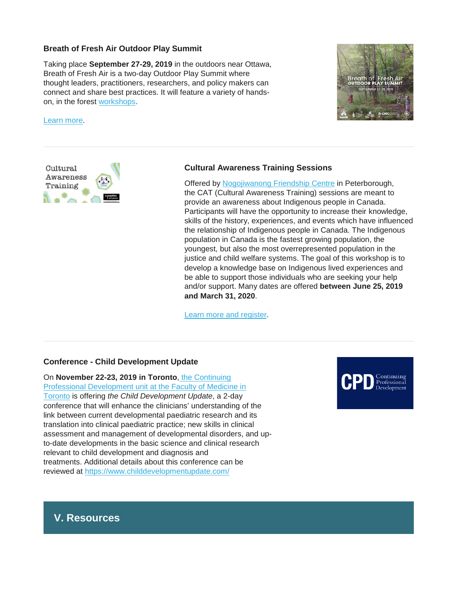### **Breath of Fresh Air Outdoor Play Summit**

Taking place **September 27-29, 2019** in the outdoors near Ottawa, Breath of Fresh Air is a two-day Outdoor Play Summit where thought leaders, practitioners, researchers, and policy makers can connect and share best practices. It will feature a variety of handson, in the forest [workshops.](https://childnature.us5.list-manage.com/track/click?u=b8d0eeeb68860306081aa894d&id=229a13a4fd&e=8df00f12e3)

#### [Learn more.](https://outdoorplaysummit.ca/)





### **Cultural Awareness Training Sessions**

Offered by [Nogojiwanong Friendship Centre](https://www.nogofc.ca/) in Peterborough, the CAT (Cultural Awareness Training) sessions are meant to provide an awareness about Indigenous people in Canada. Participants will have the opportunity to increase their knowledge, skills of the history, experiences, and events which have influenced the relationship of Indigenous people in Canada. The Indigenous population in Canada is the fastest growing population, the youngest, but also the most overrepresented population in the justice and child welfare systems. The goal of this workshop is to develop a knowledge base on Indigenous lived experiences and be able to support those individuals who are seeking your help and/or support. Many dates are offered **between June 25, 2019 and March 31, 2020**.

[Learn more and register.](https://www.eventbrite.ca/e/cultural-awareness-training-tickets-59948914818)

### **Conference - Child Development Update**

On **November 22-23, 2019 in Toronto**, [the Continuing](https://www.cpd.utoronto.ca/)  [Professional Development unit at the Faculty of Medicine in](https://www.cpd.utoronto.ca/)  [Toronto](https://www.cpd.utoronto.ca/) is offering *the Child Development Update*, a 2-day conference that will enhance the clinicians' understanding of the link between current developmental paediatric research and its translation into clinical paediatric practice; new skills in clinical assessment and management of developmental disorders, and upto-date developments in the basic science and clinical research relevant to child development and diagnosis and treatments. Additional details about this conference can be reviewed at <https://www.childdevelopmentupdate.com/>



# **V. Resources**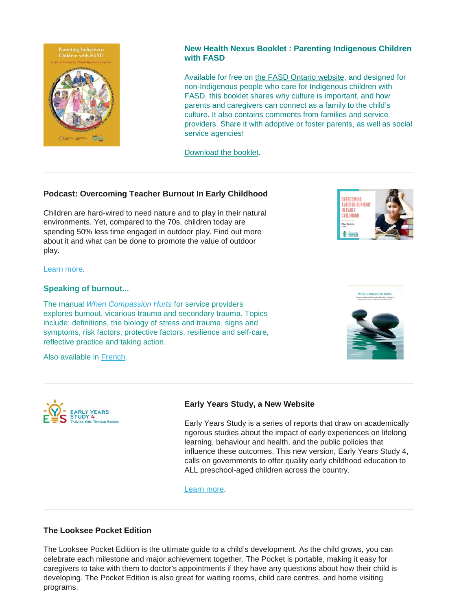

# **New Health Nexus Booklet : Parenting Indigenous Children with FASD**

Available for free on [the FASD Ontario website,](http://www.fasdon.ca/) and designed for non-Indigenous people who care for Indigenous children with FASD, this booklet shares why culture is important, and how parents and caregivers can connect as a family to the child's culture. It also contains comments from families and service providers. Share it with adoptive or foster parents, as well as social service agencies!

[Download the booklet.](https://www.fasdinfotsaf.ca/fasd_indigenous_final_july2019/)

## **Podcast: Overcoming Teacher Burnout In Early Childhood**

Children are hard-wired to need nature and to play in their natural environments. Yet, compared to the 70s, children today are spending 50% less time engaged in outdoor play. Find out more about it and what can be done to promote the value of outdoor play.



#### [Learn more.](https://blog.himama.com/preschool-podcast-ellen-drolette/?utm_source=newsletter&utm_medium=email&utm_campaign=newsletter_06182019&mkt_tok=eyJpIjoiWkdVMU5EWTRPVEV5TmpZMSIsInQiOiJxT3ByeERxSWVidnV3RHg5OVwvRHp2dlAwZEJCSmFVRUduZnB6Vm5XbDVrRyt2T2p2M21Gd2oxNGRmeXlvM0pPTnpwZ1htQnlqa01BYkRzNjNNQUtCSFVLTzlqTWUwSk5QOWhGTVJraUNHdHVQUVRWb01DMDVWK2pkdHVMR2R2dkwifQ%3D%3D)

### **Speaking of burnout...**

The manual *When [Compassion Hurts](https://resources.beststart.org/product/j13e-when-compassion-hurts-manual/)* for service providers explores burnout, vicarious trauma and secondary trauma. Topics include: definitions, the biology of stress and trauma, signs and symptoms, risk factors, protective factors, resilience and self-care, reflective practice and taking action.

Also available in [French.](https://resources.beststart.org/product/j13f-lorsque-compassion-rime-avec-souffrance-manuel-en/)



## **Early Years Study, a New Website**

Early Years Study is a series of reports that draw on academically rigorous studies about the impact of early experiences on lifelong learning, behaviour and health, and the public policies that influence these outcomes. This new version, Early Years Study 4, calls on governments to offer quality early childhood education to ALL preschool-aged children across the country.

[Learn more.](https://earlyyearsstudy.ca/)

### **The Looksee Pocket Edition**

The Looksee Pocket Edition is the ultimate guide to a child's development. As the child grows, you can celebrate each milestone and major achievement together. The Pocket is portable, making it easy for caregivers to take with them to doctor's appointments if they have any questions about how their child is developing. The Pocket Edition is also great for waiting rooms, child care centres, and home visiting programs.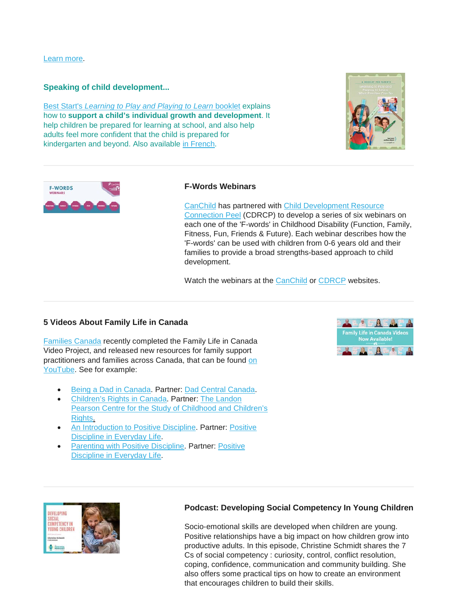[Learn more.](https://ndds.us2.list-manage.com/track/click?u=bd69219c7afd02b79d5bae92d&id=1f514427ec&e=b2fa030836)

### **Speaking of child development...**

Best Start's *[Learning to Play and Playing to Learn](https://resources.beststart.org/product/k27e-learning-to-play-booklet/)* booklet explains how to **support a child's individual growth and development**. It help children be prepared for learning at school, and also help adults feel more confident that the child is prepared for kindergarten and beyond. Also available [in French.](https://resources.beststart.org/product/k27f-apprendre-a-jouer-livret-en/)





# **F-Words Webinars**

[CanChild](https://www.canchild.ca/) has partnered with [Child Development Resource](https://cdrcp.com/)  [Connection Peel](https://cdrcp.com/) (CDRCP) to develop a series of six webinars on each one of the 'F-words' in Childhood Disability (Function, Family, Fitness, Fun, Friends & Future). Each webinar describes how the 'F-words' can be used with children from 0-6 years old and their families to provide a broad strengths-based approach to child development.

Watch the webinars at the [CanChild](http://r20.rs6.net/tn.jsp?f=001sf2n_jQzx0HpdxmPG705tD8lIFLpF299LimKxfatx8-LdXhXtwWRgF2l86iOa929T3vnUedhnAzEJHcs1shoRf5BpuuPeP6DUoUv_pZll1UH5oo5qSzYHGFsEjqcJul4ES19Q6T4HHdKk7_paCWE_VUMWQqc-zJehyoamjDGD1ngXc1DnM1cdhwv5BO6pancuaVoA9QcGGC-IjZxyPyofb2ZloqHLhQ4c0VDp7Np5CTq-v--vauitWwOfSMn-0DW2DAuUW5Ih10=&c=wQQfNTgEtt4tO5aylSuPw_RtXbJzf-uEn12S9GFvpamwSh26dFfcVw==&ch=i25cgadGCtpZAgV-dLXmdWieT4NEyd9rEQ9fRfwcPwlxQIPMfKzDgQ==) or [CDRCP](http://r20.rs6.net/tn.jsp?f=001sf2n_jQzx0HpdxmPG705tD8lIFLpF299LimKxfatx8-LdXhXtwWRgF2l86iOa929MJbs_HVWJRKW6pJYRO0YT53AK1XRX8gaOVtAQWl3VI0UzLZKqxAF6fMF0YPn1z0ysJDFdALnwZY8BFTOkcghebjSfO4yEm_1pxoI0AB3-l_-aGB0tDVh9aLqP3Vtw13I&c=wQQfNTgEtt4tO5aylSuPw_RtXbJzf-uEn12S9GFvpamwSh26dFfcVw==&ch=i25cgadGCtpZAgV-dLXmdWieT4NEyd9rEQ9fRfwcPwlxQIPMfKzDgQ==) websites.

### **5 Videos About Family Life in Canada**

[Families Canada](https://familiescanada.ca/) recently completed the Family Life in Canada Video Project, and released new resources for family support practitioners and families across Canada, that can be found [on](https://www.youtube.com/channel/UCioXVDKjaT8NVjblBW58WDg/videos)  [YouTube.](https://www.youtube.com/channel/UCioXVDKjaT8NVjblBW58WDg/videos) See for example:

- [Being a Dad in Canada.](http://ow.ly/ovuA30oTlvG) Partner: [Dad Central Canada.](http://www.dadcentral.ca/)
- [Children's Rights in Canada.](http://ow.ly/437d30oTlvT) Partner: [The Landon](https://carleton.ca/landonpearsoncentre/)  [Pearson Centre for the Study of Childhood and Children's](https://carleton.ca/landonpearsoncentre/)  [Rights.](https://carleton.ca/landonpearsoncentre/)
- [An Introduction to Positive Discipline.](http://ow.ly/tTjj30oTlz4) Partner: [Positive](http://www.positivedisciplineeveryday.com/public/index.php)  [Discipline in Everyday Life.](http://www.positivedisciplineeveryday.com/public/index.php)
- [Parenting with Positive Discipline.](http://ow.ly/dRWp30oTlA6) Partner: [Positive](http://www.positivedisciplineeveryday.com/public/index.php)  [Discipline in Everyday Life.](http://www.positivedisciplineeveryday.com/public/index.php)





### **Podcast: Developing Social Competency In Young Children**

Socio-emotional skills are developed when children are young. Positive relationships have a big impact on how children grow into productive adults. In this episode, Christine Schmidt shares the 7 Cs of social competency : curiosity, control, conflict resolution, coping, confidence, communication and community building. She also offers some practical tips on how to create an environment that encourages children to build their skills.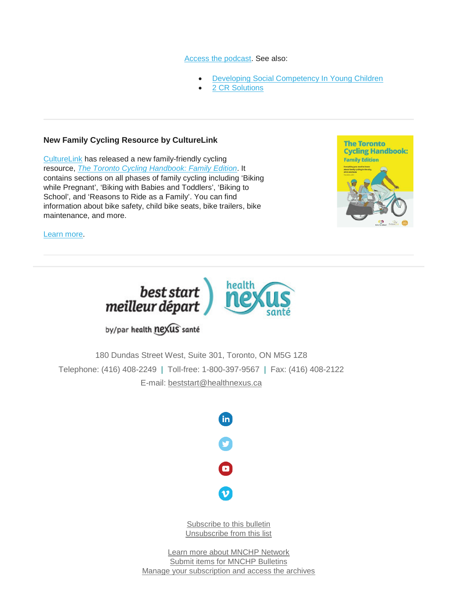#### [Access the podcast.](https://blog.himama.com/preschool-podcast-christine-schmidt/?utm_source=newsletter&utm_medium=email&utm_campaign=newsletter_07232019&mkt_tok=eyJpIjoiTVdFNE56TXhZelU0WXpabCIsInQiOiJleElMbnhoK3RqS1llTmhcL2NXRzRkNXIxdmVNRlltVm5tVGFKcHJyWFRZVFFYbHZZR2NQd0c5STd1ZDEzem8wYkMyZDE5SVRoZ1dneWxMQU43MDF5eVwvWDlrbTFySnJOdG9sdUlkR2ZoaXNHZVRteGIxXC9zZkw0b1EzSWF0NlwvckRrb0ZQT0pJUWdMM1k3Q1ZsWXQyMlNRPT0ifQ%3D%3D) See also:

- [Developing Social Competency In Young Children](https://www.redleafpress.org/Developing-Social-Competency-in-Young-Children-P2299.aspx)
- [2 CR Solutions](http://2crsolutions.com/)

### **New Family Cycling Resource by CultureLink**

[CultureLink](https://www.culturelink.ca/) has released a new family-friendly cycling resource, *[The Toronto Cycling Handbook: Family Edition](https://www.culturelink.ca/family-cycling-handbook/)*. It contains sections on all phases of family cycling including 'Biking while Pregnant', 'Biking with Babies and Toddlers', 'Biking to School', and 'Reasons to Ride as a Family'. You can find information about bike safety, child bike seats, bike trailers, bike maintenance, and more.



[Learn more.](https://www.culturelink.ca/family-cycling-handbook/)



# by/par health nexus santé

180 Dundas Street West, Suite 301, Toronto, ON M5G 1Z8 Telephone: (416) 408-2249 | Toll-free: 1-800-397-9567 | Fax: (416) 408-2122 E-mail: [beststart@healthnexus.ca](mailto:beststart@healthnexus.ca?subject=Contact%20Us)



[Subscribe to this bulletin](mailto:mnchp@healthnexus.ca?subject=Unsubscribe%20to%20MNCHP%20bulletin%20and%20network) [Unsubscribe from this list](mailto:mnchp@healthnexus.ca?subject=Unsubscribe%20to%20MNCHP%20bulletin%20and%20network)

[Learn more about MNCHP Network](http://lists.beststart.org/listinfo.cgi/mnchp-beststart.org) [Submit items for MNCHP Bulletins](mailto:mnchp@healthnexus.ca) [Manage your subscription and access the archives](http://lists.beststart.org/listinfo.cgi/mnchp-beststart.org)